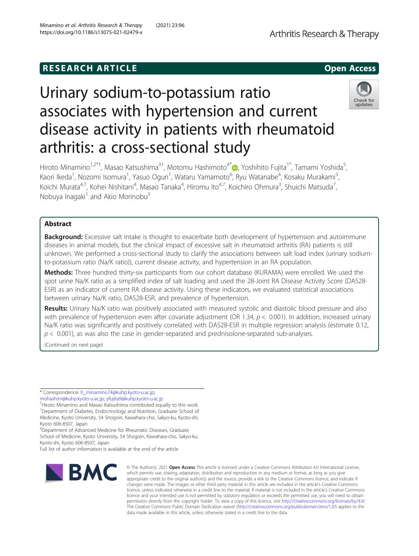### **RESEARCH ARTICLE Example 2014 12:30 The SEAR CH ACCESS**



# Urinary sodium-to-potassium ratio associates with hypertension and current disease activity in patients with rheumatoid arthritis: a cross-sectional study



Hiroto Minamino<sup>1,2[\\*](http://orcid.org/0000-0002-9241-060X)†</sup>, Masao Katsushima<sup>3†</sup>, Motomu Hashimoto<sup>4\*</sup>៊្វ្រ Yoshihito Fujita<sup>1\*</sup>, Tamami Yoshida<sup>5</sup> , Kaori Ikeda<sup>1</sup>, Nozomi Isomura<sup>1</sup>, Yasuo Oguri<sup>1</sup>, Wataru Yamamoto<sup>6</sup>, Ryu Watanabe<sup>4</sup>, Kosaku Murakami<sup>3</sup> , Koichi Murata<sup>4,7</sup>, Kohei Nishitani<sup>4</sup>, Masao Tanaka<sup>4</sup>, Hiromu Ito<sup>4,7</sup>, Koichiro Ohmura<sup>3</sup>, Shuichi Matsuda<sup>7</sup> , Nobuya Inagaki $<sup>1</sup>$  and Akio Morinobu $<sup>3</sup>$ </sup></sup>

### Abstract

Background: Excessive salt intake is thought to exacerbate both development of hypertension and autoimmune diseases in animal models, but the clinical impact of excessive salt in rheumatoid arthritis (RA) patients is still unknown. We performed a cross-sectional study to clarify the associations between salt load index (urinary sodiumto-potassium ratio (Na/K ratio)), current disease activity, and hypertension in an RA population.

Methods: Three hundred thirty-six participants from our cohort database (KURAMA) were enrolled. We used the spot urine Na/K ratio as a simplified index of salt loading and used the 28-Joint RA Disease Activity Score (DAS28- ESR) as an indicator of current RA disease activity. Using these indicators, we evaluated statistical associations between urinary Na/K ratio, DAS28-ESR, and prevalence of hypertension.

Results: Urinary Na/K ratio was positively associated with measured systolic and diastolic blood pressure and also with prevalence of hypertension even after covariate adjustment (OR 1.34,  $p < 0.001$ ). In addition, increased urinary Na/K ratio was significantly and positively correlated with DAS28-ESR in multiple regression analysis (estimate 0.12,  $p < 0.001$ ), as was also the case in gender-separated and prednisolone-separated sub-analyses.

(Continued on next page)

\* Correspondence: [h\\_minamino74@kuhp.kyoto-u.ac.jp](mailto:h_minamino74@kuhp.kyoto-u.ac.jp);

[mohashim@kuhp.kyoto-u.ac.jp;](mailto:mohashim@kuhp.kyoto-u.ac.jp) [yfujita9@kuhp.kyoto-u.ac.jp](mailto:yfujita9@kuhp.kyoto-u.ac.jp) †

<sup>†</sup>Hiroto Minamino and Masao Katsushima contributed equally to this work. <sup>1</sup>Department of Diabetes, Endocrinology and Nutrition, Graduate School of Medicine, Kyoto University, 54 Shogoin, Kawahara-cho, Sakyo-ku, Kyoto-shi, Kyoto 606-8507, Japan

<sup>4</sup>Department of Advanced Medicine for Rheumatic Diseases, Graduate School of Medicine, Kyoto University, 54 Shogoin, Kawahara-cho, Sakyo-ku, Kyoto-shi, Kyoto 606-8507, Japan

Full list of author information is available at the end of the article



© The Author(s), 2021 **Open Access** This article is licensed under a Creative Commons Attribution 4.0 International License, which permits use, sharing, adaptation, distribution and reproduction in any medium or format, as long as you give appropriate credit to the original author(s) and the source, provide a link to the Creative Commons licence, and indicate if changes were made. The images or other third party material in this article are included in the article's Creative Commons licence, unless indicated otherwise in a credit line to the material. If material is not included in the article's Creative Commons licence and your intended use is not permitted by statutory regulation or exceeds the permitted use, you will need to obtain permission directly from the copyright holder. To view a copy of this licence, visit [http://creativecommons.org/licenses/by/4.0/.](http://creativecommons.org/licenses/by/4.0/) The Creative Commons Public Domain Dedication waiver [\(http://creativecommons.org/publicdomain/zero/1.0/](http://creativecommons.org/publicdomain/zero/1.0/)) applies to the data made available in this article, unless otherwise stated in a credit line to the data.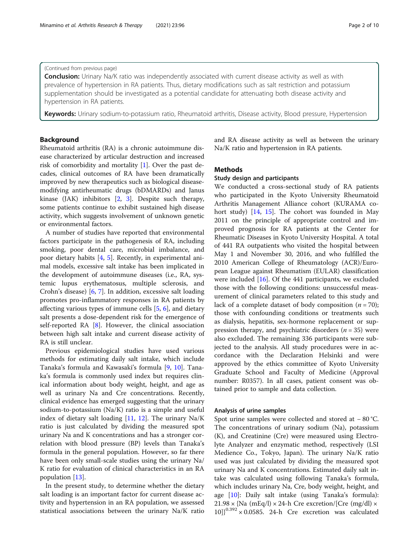#### (Continued from previous page)

**Conclusion:** Urinary Na/K ratio was independently associated with current disease activity as well as with prevalence of hypertension in RA patients. Thus, dietary modifications such as salt restriction and potassium supplementation should be investigated as a potential candidate for attenuating both disease activity and hypertension in RA patients.

Keywords: Urinary sodium-to-potassium ratio, Rheumatoid arthritis, Disease activity, Blood pressure, Hypertension

#### Background

Rheumatoid arthritis (RA) is a chronic autoimmune disease characterized by articular destruction and increased risk of comorbidity and mortality [[1\]](#page-7-0). Over the past decades, clinical outcomes of RA have been dramatically improved by new therapeutics such as biological diseasemodifying antirheumatic drugs (bDMARDs) and Janus kinase (JAK) inhibitors [\[2](#page-8-0), [3](#page-8-0)]. Despite such therapy, some patients continue to exhibit sustained high disease activity, which suggests involvement of unknown genetic or environmental factors.

A number of studies have reported that environmental factors participate in the pathogenesis of RA, including smoking, poor dental care, microbial imbalance, and poor dietary habits [[4,](#page-8-0) [5](#page-8-0)]. Recently, in experimental animal models, excessive salt intake has been implicated in the development of autoimmune diseases (i.e., RA, systemic lupus erythematosus, multiple sclerosis, and Crohn's disease) [[6](#page-8-0), [7\]](#page-8-0). In addition, excessive salt loading promotes pro-inflammatory responses in RA patients by affecting various types of immune cells [[5,](#page-8-0) [6\]](#page-8-0), and dietary salt presents a dose-dependent risk for the emergence of self-reported RA [\[8\]](#page-8-0). However, the clinical association between high salt intake and current disease activity of RA is still unclear.

Previous epidemiological studies have used various methods for estimating daily salt intake, which include Tanaka's formula and Kawasaki's formula [[9,](#page-8-0) [10](#page-8-0)]. Tanaka's formula is commonly used index but requires clinical information about body weight, height, and age as well as urinary Na and Cre concentrations. Recently, clinical evidence has emerged suggesting that the urinary sodium-to-potassium (Na/K) ratio is a simple and useful index of dietary salt loading [[11,](#page-8-0) [12](#page-8-0)]. The urinary Na/K ratio is just calculated by dividing the measured spot urinary Na and K concentrations and has a stronger correlation with blood pressure (BP) levels than Tanaka's formula in the general population. However, so far there have been only small-scale studies using the urinary Na/ K ratio for evaluation of clinical characteristics in an RA population [[13\]](#page-8-0).

In the present study, to determine whether the dietary salt loading is an important factor for current disease activity and hypertension in an RA population, we assessed statistical associations between the urinary Na/K ratio and RA disease activity as well as between the urinary Na/K ratio and hypertension in RA patients.

#### **Methods**

#### Study design and participants

We conducted a cross-sectional study of RA patients who participated in the Kyoto University Rheumatoid Arthritis Management Alliance cohort (KURAMA cohort study) [[14,](#page-8-0) [15\]](#page-8-0). The cohort was founded in May 2011 on the principle of appropriate control and improved prognosis for RA patients at the Center for Rheumatic Diseases in Kyoto University Hospital. A total of 441 RA outpatients who visited the hospital between May 1 and November 30, 2016, and who fulfilled the 2010 American College of Rheumatology (ACR)/European League against Rheumatism (EULAR) classification were included [[16](#page-8-0)]. Of the 441 participants, we excluded those with the following conditions: unsuccessful measurement of clinical parameters related to this study and lack of a complete dataset of body composition  $(n = 70)$ ; those with confounding conditions or treatments such as dialysis, hepatitis, sex-hormone replacement or suppression therapy, and psychiatric disorders ( $n = 35$ ) were also excluded. The remaining 336 participants were subjected to the analysis. All study procedures were in accordance with the Declaration Helsinki and were approved by the ethics committee of Kyoto University Graduate School and Faculty of Medicine (Approval number: R0357). In all cases, patient consent was obtained prior to sample and data collection.

#### Analysis of urine samples

Spot urine samples were collected and stored at − 80 °C. The concentrations of urinary sodium (Na), potassium (K), and Creatinine (Cre) were measured using Electrolyte Analyzer and enzymatic method, respectively (LSI Medience Co., Tokyo, Japan). The urinary Na/K ratio used was just calculated by dividing the measured spot urinary Na and K concentrations. Estimated daily salt intake was calculated using following Tanaka's formula, which includes urinary Na, Cre, body weight, height, and age [[10](#page-8-0)]: Daily salt intake (using Tanaka's formula):  $21.98 \times$ {Na (mEq/l)  $\times$  24-h Cre excretion/[Cre (mg/dl)  $\times$  $10$ ] $^{0.392}$  × 0.0585. 24-h Cre excretion was calculated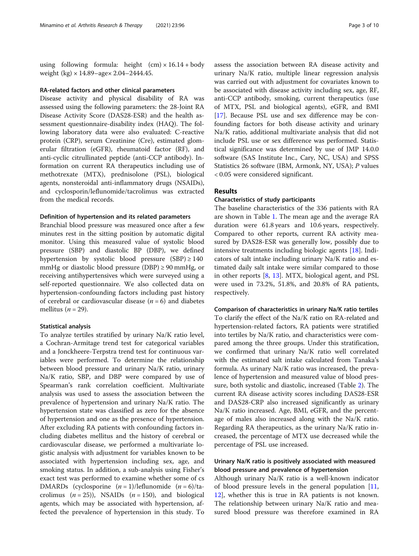using following formula: height  $(cm) \times 16.14 + body$ weight (kg)  $\times$  14.89–age $\times$  2.04–2444.45.

#### RA-related factors and other clinical parameters

Disease activity and physical disability of RA was assessed using the following parameters: the 28-Joint RA Disease Activity Score (DAS28-ESR) and the health assessment questionnaire-disability index (HAQ). The following laboratory data were also evaluated: C-reactive protein (CRP), serum Creatinine (Cre), estimated glomerular filtration (eGFR), rheumatoid factor (RF), and anti-cyclic citrullinated peptide (anti-CCP antibody). Information on current RA therapeutics including use of methotrexate (MTX), prednisolone (PSL), biological agents, nonsteroidal anti-inflammatory drugs (NSAIDs), and cyclosporin/leflunomide/tacrolimus was extracted from the medical records.

#### Definition of hypertension and its related parameters

Branchial blood pressure was measured once after a few minutes rest in the sitting position by automatic digital monitor. Using this measured value of systolic blood pressure (SBP) and diastolic BP (DBP), we defined hypertension by systolic blood pressure  $(SBP) \ge 140$ mmHg or diastolic blood pressure (DBP)  $\geq$  90 mmHg, or receiving antihypertensives which were surveyed using a self-reported questionnaire. We also collected data on hypertension-confounding factors including past history of cerebral or cardiovascular disease  $(n = 6)$  and diabetes mellitus ( $n = 29$ ).

#### Statistical analysis

To analyze tertiles stratified by urinary Na/K ratio level, a Cochran-Armitage trend test for categorical variables and a Jonckheere-Terpstra trend test for continuous variables were performed. To determine the relationship between blood pressure and urinary Na/K ratio, urinary Na/K ratio, SBP, and DBP were compared by use of Spearman's rank correlation coefficient. Multivariate analysis was used to assess the association between the prevalence of hypertension and urinary Na/K ratio. The hypertension state was classified as zero for the absence of hypertension and one as the presence of hypertension. After excluding RA patients with confounding factors including diabetes mellitus and the history of cerebral or cardiovascular disease, we performed a multivariate logistic analysis with adjustment for variables known to be associated with hypertension including sex, age, and smoking status. In addition, a sub-analysis using Fisher's exact test was performed to examine whether some of cs DMARDs (cyclosporine  $(n = 1)/$ leflunomide  $(n = 6)/$ tacrolimus  $(n = 25)$ ), NSAIDs  $(n = 150)$ , and biological agents, which may be associated with hypertension, affected the prevalence of hypertension in this study. To

assess the association between RA disease activity and urinary Na/K ratio, multiple linear regression analysis was carried out with adjustment for covariates known to be associated with disease activity including sex, age, RF, anti-CCP antibody, smoking, current therapeutics (use of MTX, PSL and biological agents), eGFR, and BMI [[17\]](#page-8-0). Because PSL use and sex difference may be confounding factors for both disease activity and urinary Na/K ratio, additional multivariate analysis that did not include PSL use or sex difference was performed. Statistical significance was determined by use of JMP 14.0.0 software (SAS Institute Inc., Cary, NC, USA) and SPSS Statistics 26 software (IBM, Armonk, NY, USA); P values < 0.05 were considered significant.

#### Results

#### Characteristics of study participants

The baseline characteristics of the 336 patients with RA are shown in Table [1.](#page-3-0) The mean age and the average RA duration were 61.8 years and 10.6 years, respectively. Compared to other reports, current RA activity measured by DAS28-ESR was generally low, possibly due to intensive treatments including biologic agents [\[18](#page-8-0)]. Indicators of salt intake including urinary Na/K ratio and estimated daily salt intake were similar compared to those in other reports [[8,](#page-8-0) [13](#page-8-0)]. MTX, biological agent, and PSL were used in 73.2%, 51.8%, and 20.8% of RA patients, respectively.

#### Comparison of characteristics in urinary Na/K ratio tertiles

To clarify the effect of the Na/K ratio on RA-related and hypertension-related factors, RA patients were stratified into tertiles by Na/K ratio, and characteristics were compared among the three groups. Under this stratification, we confirmed that urinary Na/K ratio well correlated with the estimated salt intake calculated from Tanaka's formula. As urinary Na/K ratio was increased, the prevalence of hypertension and measured value of blood pressure, both systolic and diastolic, increased (Table [2\)](#page-4-0). The current RA disease activity scores including DAS28-ESR and DAS28-CRP also increased significantly as urinary Na/K ratio increased. Age, BMI, eGFR, and the percentage of males also increased along with the Na/K ratio. Regarding RA therapeutics, as the urinary Na/K ratio increased, the percentage of MTX use decreased while the percentage of PSL use increased.

#### Urinary Na/K ratio is positively associated with measured blood pressure and prevalence of hypertension

Although urinary Na/K ratio is a well-known indicator of blood pressure levels in the general population [[11](#page-8-0), [12\]](#page-8-0), whether this is true in RA patients is not known. The relationship between urinary Na/K ratio and measured blood pressure was therefore examined in RA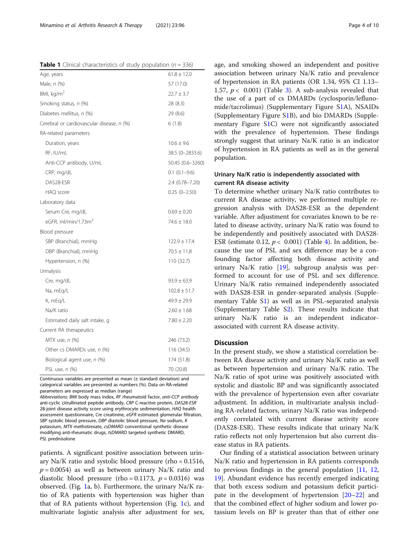<span id="page-3-0"></span>**Table 1** Clinical characteristics of study population ( $n = 336$ )

| Age, years                                | $61.8 \pm 12.0$  |
|-------------------------------------------|------------------|
| Male, n (%)                               | 57 (17.0)        |
| BMI, kg/m <sup>2</sup>                    | $22.7 \pm 3.7$   |
| Smoking status, n (%)                     | 28 (8.3)         |
| Diabetes mellitus, n (%)                  | 29 (8.6)         |
| Cerebral or cardiovascular disease, n (%) | 6(1.8)           |
| RA-related parameters                     |                  |
| Duration, years                           | $10.6 \pm 9.6$   |
| RF, IU/mL                                 | 38.5 (0-2833.6)  |
| Anti-CCP antibody, U/mL                   | 50.45 (0.6-3260) |
| CRP, mg/dL                                | $0.1(0.1-9.6)$   |
| DAS28-ESR                                 | 2.4 (0.78-7.20)  |
| HAQ score                                 | $0.25(0-2.50)$   |
| Laboratory data                           |                  |
| Serum Cre, mg/dL                          | $0.69 \pm 0.20$  |
| eGFR, ml/min/1.73m <sup>2</sup>           | $74.6 + 18.0$    |
| Blood pressure                            |                  |
| SBP (Branchial), mmHg                     | $122.9 \pm 17.4$ |
| DBP (Branchial), mmHg                     | $70.5 \pm 11.8$  |
| Hypertension, n (%)                       | 110 (32.7)       |
| Urinalysis                                |                  |
| Cre, mg/dL                                | $93.9 \pm 63.9$  |
| Na, mEq/L                                 | $102.8 \pm 51.7$ |
| K, mEq/L                                  | $49.9 \pm 29.9$  |
| Na/K ratio                                | $2.60 \pm 1.68$  |
| Estimated daily salt intake, g            | $7.80 \pm 2.20$  |
| Current RA therapeutics                   |                  |
| MTX use, n (%)                            | 246 (73.2)       |
| Other cs DMARDs use, n (%)                | 116 (34.5)       |
| Biological agent use, n (%)               | 174 (51.8)       |
| PSL use, n (%)                            | 70 (20.8)        |

Continuous variables are presented as mean (± standard deviation) and categorical variables are presented as numbers (%). Data on RA-related parameters are expressed as median (range)

Abbreviations: BMI body mass index, RF rheumatoid factor, anti-CCP antibody anti-cyclic citrullinated peptide antibody, CRP C-reactive protein, DAS28-ESR 28-joint disease activity score using erythrocyte sedimentation, HAQ health assessment questionnaire, Cre creatinine, eGFR estimated glomerular filtration, SBP systolic blood pressure, DBP diastolic blood pressure, Na sodium, K potassium, MTX methotrexate, csDMARD conventional synthetic disease modifying anti-rheumatic drugs, tsDMARD targeted synthetic DMARD, PSL prednisolone

patients. A significant positive association between urinary Na/K ratio and systolic blood pressure (rho = 0.1516,  $p = 0.0054$ ) as well as between urinary Na/K ratio and diastolic blood pressure (rho = 0.1173,  $p = 0.0316$ ) was observed. (Fig. [1](#page-5-0)a, b). Furthermore, the urinary Na/K ratio of RA patients with hypertension was higher than that of RA patients without hypertension (Fig. [1c](#page-5-0)), and multivariate logistic analysis after adjustment for sex,

age, and smoking showed an independent and positive association between urinary Na/K ratio and prevalence of hypertension in RA patients (OR 1.34, 95% CI 1.13– 1.57,  $p < 0.001$ ) (Table [3\)](#page-5-0). A sub-analysis revealed that the use of a part of cs DMARDs (cyclosporin/leflunomide/tacrolimus) (Supplementary Figure [S1](#page-7-0)A), NSAIDs (Supplementary Figure S[1B](#page-7-0)), and bio DMARDs (Supplementary Figure S[1C](#page-7-0)) were not significantly associated with the prevalence of hypertension. These findings strongly suggest that urinary Na/K ratio is an indicator of hypertension in RA patients as well as in the general population.

#### Urinary Na/K ratio is independently associated with current RA disease activity

To determine whether urinary Na/K ratio contributes to current RA disease activity, we performed multiple regression analysis with DAS28-ESR as the dependent variable. After adjustment for covariates known to be related to disease activity, urinary Na/K ratio was found to be independently and positively associated with DAS28- ESR (estimate 0.12,  $p < 0.001$ ) (Table [4](#page-6-0)). In addition, because the use of PSL and sex difference may be a confounding factor affecting both disease activity and urinary Na/K ratio [\[19\]](#page-8-0), subgroup analysis was performed to account for use of PSL and sex difference. Urinary Na/K ratio remained independently associated with DAS28-ESR in gender-separated analysis (Supplementary Table S[1\)](#page-7-0) as well as in PSL-separated analysis (Supplementary Table S[2\)](#page-7-0). These results indicate that urinary Na/K ratio is an independent indicatorassociated with current RA disease activity.

#### **Discussion**

In the present study, we show a statistical correlation between RA disease activity and urinary Na/K ratio as well as between hypertension and urinary Na/K ratio. The Na/K ratio of spot urine was positively associated with systolic and diastolic BP and was significantly associated with the prevalence of hypertension even after covariate adjustment. In addition, in multivariate analysis including RA-related factors, urinary Na/K ratio was independently correlated with current disease activity score (DAS28-ESR). These results indicate that urinary Na/K ratio reflects not only hypertension but also current disease status in RA patients.

Our finding of a statistical association between urinary Na/K ratio and hypertension in RA patients corresponds to previous findings in the general population [[11,](#page-8-0) [12](#page-8-0), [19\]](#page-8-0). Abundant evidence has recently emerged indicating that both excess sodium and potassium deficit participate in the development of hypertension [[20](#page-8-0)–[22](#page-8-0)] and that the combined effect of higher sodium and lower potassium levels on BP is greater than that of either one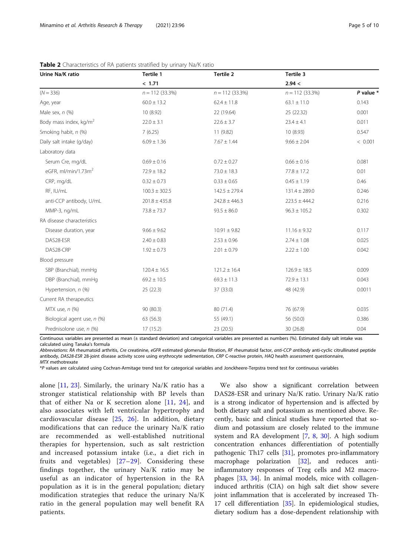| Urine Na/K ratio                   | Tertile 1         | Tertile 2         | Tertile 3         |               |
|------------------------------------|-------------------|-------------------|-------------------|---------------|
|                                    | < 1.71            |                   | 2.94 <            |               |
| $(N = 336)$                        | $n = 112$ (33.3%) | $n = 112$ (33.3%) | $n = 112$ (33.3%) | $P$ value $*$ |
| Age, year                          | $60.0 \pm 13.2$   | $62.4 \pm 11.8$   | $63.1 \pm 11.0$   | 0.143         |
| Male sex, $n$ $(\%)$               | 10 (8.92)         | 22 (19.64)        | 25(22.32)         | 0.001         |
| Body mass index, kg/m <sup>2</sup> | $22.0 \pm 3.1$    | $22.6 \pm 3.7$    | $23.4 \pm 4.1$    | 0.011         |
| Smoking habit, n (%)               | 7(6.25)           | 11 (9.82)         | 10(8.93)          | 0.547         |
| Daily salt intake (g/day)          | $6.09 \pm 1.36$   | $7.67 \pm 1.44$   | $9.66 \pm 2.04$   | < 0.001       |
| Laboratory data                    |                   |                   |                   |               |
| Serum Cre, mg/dL                   | $0.69 \pm 0.16$   | $0.72 \pm 0.27$   | $0.66 \pm 0.16$   | 0.081         |
| eGFR, ml/min/1.73 $m2$             | $72.9 \pm 18.2$   | $73.0 \pm 18.3$   | $77.8 \pm 17.2$   | 0.01          |
| CRP, mg/dL                         | $0.32 \pm 0.73$   | $0.33 \pm 0.65$   | $0.45 \pm 1.19$   | 0.46          |
| RF, IU/mL                          | $100.3 \pm 302.5$ | $142.5 \pm 279.4$ | $131.4 \pm 289.0$ | 0.246         |
| anti-CCP antibody, U/mL            | $201.8 \pm 435.8$ | $242.8 \pm 446.3$ | $223.5 \pm 444.2$ | 0.216         |
| MMP-3, ng/mL                       | $73.8 \pm 73.7$   | $93.5 \pm 86.0$   | $96.3 \pm 105.2$  | 0.302         |
| RA disease characteristics         |                   |                   |                   |               |
| Disease duration, year             | $9.66 \pm 9.62$   | $10.91 \pm 9.82$  | $11.16 \pm 9.32$  | 0.117         |
| DAS28-ESR                          | $2.40 \pm 0.83$   | $2.53 \pm 0.96$   | $2.74 \pm 1.08$   | 0.025         |
| DAS28-CRP                          | $1.92 \pm 0.73$   | $2.01 \pm 0.79$   | $2.22 \pm 1.00$   | 0.042         |
| Blood pressure                     |                   |                   |                   |               |
| SBP (Branchial), mmHg              | $120.4 \pm 16.5$  | $121.2 \pm 16.4$  | $126.9 \pm 18.5$  | 0.009         |
| DBP (Branchial), mmHg              | $69.2 \pm 10.5$   | $69.3 \pm 11.3$   | $72.9 \pm 13.1$   | 0.043         |
| Hypertension, n (%)                | 25(22.3)          | 37 (33.0)         | 48 (42.9)         | 0.0011        |
| Current RA therapeutics            |                   |                   |                   |               |
| MTX use, $n$ (%)                   | 90 (80.3)         | 80 (71.4)         | 76 (67.9)         | 0.035         |
| Biological agent use, n (%)        | 63 (56.3)         | 55 (49.1)         | 56 (50.0)         | 0.386         |
| Prednisolone use, n (%)            | 17(15.2)          | 23 (20.5)         | 30 (26.8)         | 0.04          |

#### <span id="page-4-0"></span>Table 2 Characteristics of RA patients stratified by urinary Na/K ratio

Continuous variables are presented as mean (± standard deviation) and categorical variables are presented as numbers (%). Estimated daily salt intake was calculated using Tanaka's formula

Abbreviations: RA rheumatoid arthritis, Cre creatinine, eGFR estimated glomerular filtration, RF rheumatoid factor, anti-CCP antibody anti-cyclic citrullinated peptide antibody, DAS28-ESR 28-joint disease activity score using erythrocyte sedimentation, CRP C-reactive protein, HAQ health assessment questionnaire, MTX methotrexate

\*P values are calculated using Cochran-Armitage trend test for categorical variables and Jonckheere-Terpstra trend test for continuous variables

alone [\[11,](#page-8-0) [23](#page-8-0)]. Similarly, the urinary Na/K ratio has a stronger statistical relationship with BP levels than that of either Na or K secretion alone [\[11](#page-8-0), [24\]](#page-8-0), and also associates with left ventricular hypertrophy and cardiovascular disease [[25](#page-8-0), [26\]](#page-8-0). In addition, dietary modifications that can reduce the urinary Na/K ratio are recommended as well-established nutritional therapies for hypertension, such as salt restriction and increased potassium intake (i.e., a diet rich in fruits and vegetables) [[27](#page-8-0)–[29](#page-8-0)]. Considering these findings together, the urinary Na/K ratio may be useful as an indicator of hypertension in the RA population as it is in the general population; dietary modification strategies that reduce the urinary Na/K ratio in the general population may well benefit RA patients.

We also show a significant correlation between DAS28-ESR and urinary Na/K ratio. Urinary Na/K ratio is a strong indicator of hypertension and is affected by both dietary salt and potassium as mentioned above. Recently, basic and clinical studies have reported that sodium and potassium are closely related to the immune system and RA development [\[7](#page-8-0), [8](#page-8-0), [30\]](#page-8-0). A high sodium concentration enhances differentiation of potentially pathogenic Th17 cells [\[31\]](#page-8-0), promotes pro-inflammatory macrophage polarization [[32\]](#page-8-0), and reduces antiinflammatory responses of Treg cells and M2 macrophages [[33,](#page-8-0) [34\]](#page-8-0). In animal models, mice with collageninduced arthritis (CIA) on high salt diet show severe joint inflammation that is accelerated by increased Th-17 cell differentiation [[35\]](#page-9-0). In epidemiological studies, dietary sodium has a dose-dependent relationship with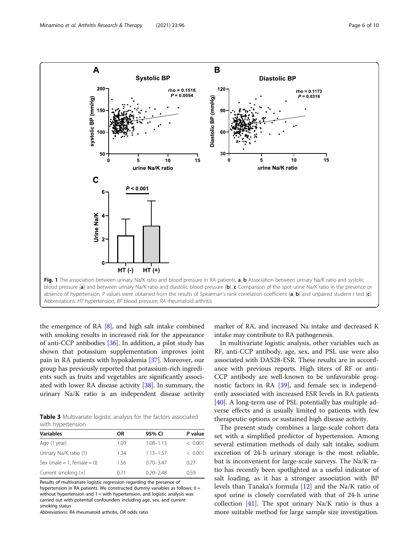<span id="page-5-0"></span>

the emergence of RA [\[8](#page-8-0)], and high salt intake combined with smoking results in increased risk for the appearance of anti-CCP antibodies [\[36](#page-9-0)]. In addition, a pilot study has shown that potassium supplementation improves joint pain in RA patients with hypokalemia [[37](#page-9-0)]. Moreover, our group has previously reported that potassium-rich ingredients such as fruits and vegetables are significantly associated with lower RA disease activity [\[38\]](#page-9-0). In summary, the urinary Na/K ratio is an independent disease activity

Table 3 Multivariate logistic analysis for the factors associated with hypertension

| OR   | 95% CI        | P value |
|------|---------------|---------|
| 1.09 | $1.08 - 1.13$ | < 0.001 |
| 1.34 | $1.13 - 1.57$ | < 0.001 |
| 1.56 | $0.70 - 3.47$ | 0.27    |
| 0.71 | $0.20 - 2.48$ | 0.59    |
|      |               |         |

Results of multivariate logistic regression regarding the presence of

hypertension in RA patients. We constructed dummy variables as follows: 0 = without hypertension and 1 = with hypertension, and logistic analysis was carried out with potential confounders including age, sex, and current smoking status

Abbreviations: RA rheumatoid arthritis, OR odds ratio

marker of RA, and increased Na intake and decreased K intake may contribute to RA pathogenesis.

In multivariate logistic analysis, other variables such as RF, anti-CCP antibody, age, sex, and PSL use were also associated with DAS28-ESR. These results are in accordance with previous reports. High titers of RF or anti-CCP antibody are well-known to be unfavorable prognostic factors in RA [[39](#page-9-0)], and female sex is independently associated with increased ESR levels in RA patients [[40\]](#page-9-0). A long-term use of PSL potentially has multiple adverse effects and is usually limited to patients with few therapeutic options or sustained high disease activity.

The present study combines a large-scale cohort data set with a simplified predictor of hypertension. Among several estimation methods of daily salt intake, sodium excretion of 24-h urinary storage is the most reliable, but is inconvenient for large-scale surveys. The Na/K ratio has recently been spotlighted as a useful indicator of salt loading, as it has a stronger association with BP levels than Tanaka's formula [[12\]](#page-8-0) and the Na/K ratio of spot urine is closely correlated with that of 24-h urine collection  $[41]$  $[41]$ . The spot urinary Na/K ratio is thus a more suitable method for large sample size investigation.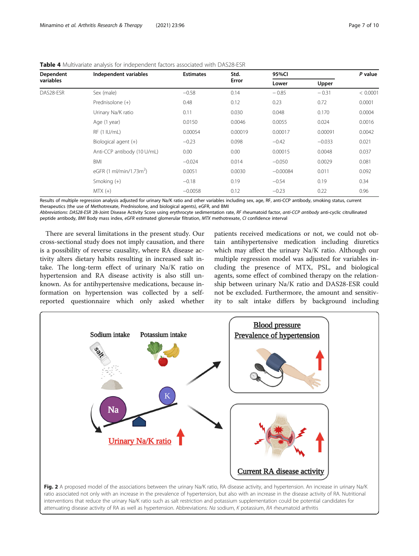| Dependent<br>variables | Independent variables               | <b>Estimates</b> | Std.<br>Error | 95%CI      |          | P value  |
|------------------------|-------------------------------------|------------------|---------------|------------|----------|----------|
|                        |                                     |                  |               | Lower      | Upper    |          |
| DAS28-ESR              | Sex (male)                          | $-0.58$          | 0.14          | $-0.85$    | $-0.31$  | < 0.0001 |
|                        | Prednisolone (+)                    | 0.48             | 0.12          | 0.23       | 0.72     | 0.0001   |
|                        | Urinary Na/K ratio                  | 0.11             | 0.030         | 0.048      | 0.170    | 0.0004   |
|                        | Age (1 year)                        | 0.0150           | 0.0046        | 0.0055     | 0.024    | 0.0016   |
|                        | RF (1 IU/mL)                        | 0.00054          | 0.00019       | 0.00017    | 0.00091  | 0.0042   |
|                        | Biological agent (+)                | $-0.23$          | 0.098         | $-0.42$    | $-0.033$ | 0.021    |
|                        | Anti-CCP antibody (10 U/mL)         | 0.00             | 0.00          | 0.00015    | 0.0048   | 0.037    |
|                        | <b>BMI</b>                          | $-0.024$         | 0.014         | $-0.050$   | 0.0029   | 0.081    |
|                        | eGFR (1 ml/min/1.73m <sup>2</sup> ) | 0.0051           | 0.0030        | $-0.00084$ | 0.011    | 0.092    |
|                        | Smoking $(+)$                       | $-0.18$          | 0.19          | $-0.54$    | 0.19     | 0.34     |
|                        | $MTX (+)$                           | $-0.0058$        | 0.12          | $-0.23$    | 0.22     | 0.96     |

<span id="page-6-0"></span>Table 4 Multivariate analysis for independent factors associated with DAS28-ESR

Results of multiple regression analysis adjusted for urinary Na/K ratio and other variables including sex, age, RF, anti-CCP antibody, smoking status, current therapeutics (the use of Methotrexate, Prednisolone, and biological agents), eGFR, and BMI

Abbreviations: DAS28-ESR 28-Joint Disease Activity Score using erythrocyte sedimentation rate, RF rheumatoid factor, anti-CCP antibody anti-cyclic citrullinated peptide antibody, BMI Body mass index, eGFR estimated glomerular filtration, MTX methotrexate, CI confidence interval

There are several limitations in the present study. Our cross-sectional study does not imply causation, and there is a possibility of reverse causality, where RA disease activity alters dietary habits resulting in increased salt intake. The long-term effect of urinary Na/K ratio on hypertension and RA disease activity is also still unknown. As for antihypertensive medications, because information on hypertension was collected by a selfreported questionnaire which only asked whether

patients received medications or not, we could not obtain antihypertensive medication including diuretics which may affect the urinary Na/K ratio. Although our multiple regression model was adjusted for variables including the presence of MTX, PSL, and biological agents, some effect of combined therapy on the relationship between urinary Na/K ratio and DAS28-ESR could not be excluded. Furthermore, the amount and sensitivity to salt intake differs by background including



ratio associated not only with an increase in the prevalence of hypertension, but also with an increase in the disease activity of RA. Nutritional interventions that reduce the urinary Na/K ratio such as salt restriction and potassium supplementation could be potential candidates for attenuating disease activity of RA as well as hypertension. Abbreviations: Na sodium, K potassium, RA rheumatoid arthritis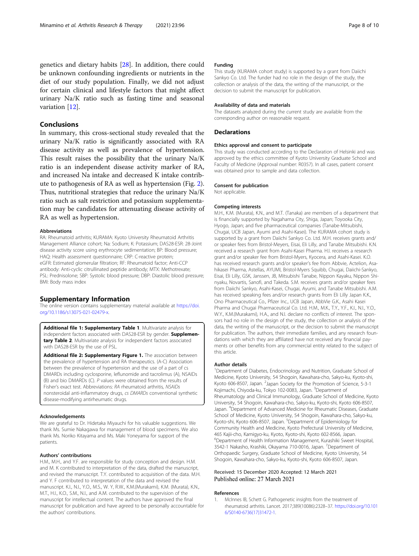<span id="page-7-0"></span>genetics and dietary habits [[28](#page-8-0)]. In addition, there could be unknown confounding ingredients or nutrients in the diet of our study population. Finally, we did not adjust for certain clinical and lifestyle factors that might affect urinary Na/K ratio such as fasting time and seasonal variation [[12](#page-8-0)].

#### Conclusions

In summary, this cross-sectional study revealed that the urinary Na/K ratio is significantly associated with RA disease activity as well as prevalence of hypertension. This result raises the possibility that the urinary Na/K ratio is an independent disease activity marker of RA, and increased Na intake and decreased K intake contribute to pathogenesis of RA as well as hypertension (Fig. [2](#page-6-0)). Thus, nutritional strategies that reduce the urinary Na/K ratio such as salt restriction and potassium supplementation may be candidates for attenuating disease activity of RA as well as hypertension.

#### Abbreviations

RA: Rheumatoid arthritis; KURAMA: Kyoto University Rheumatoid Arthritis Management Alliance cohort; Na: Sodium; K: Potassium; DAS28-ESR: 28-Joint disease activity score using erythrocyte sedimentation; BP: Blood pressure; HAQ: Health assessment questionnaire; CRP: C-reactive protein; eGFR: Estimated glomerular filtration; RF: Rheumatoid factor; Anti-CCP antibody: Anti-cyclic citrullinated peptide antibody; MTX: Methotrexate; PSL: Prednisolone; SBP: Systolic blood pressure; DBP: Diastolic blood pressure; BMI: Body mass index

#### Supplementary Information

The online version contains supplementary material available at [https://doi.](https://doi.org/10.1186/s13075-021-02479-x) [org/10.1186/s13075-021-02479-x](https://doi.org/10.1186/s13075-021-02479-x).

Additional file 1: Supplementary Table 1. Multivariate analysis for independent factors associated with DAS28-ESR by gender. Supplementary Table 2. Multivariate analysis for independent factors associated with DAS28-ESR by the use of PSL.

Additional file 2: Supplementary Figure 1. The association between the prevalence of hypertension and RA therapeutics. (A-C) Association between the prevalence of hypertension and the use of a part of cs DMARDs including cyclosporine, leflunomide and tacrolimus (A), NSAIDs (B) and bio DMARDs (C). P values were obtained from the results of Fisher's exact test. Abbreviations: RA rheumatoid arthritis, NSAIDs nonsteroidal anti-inflammatory drugs, cs DMARDs conventional synthetic disease-modifying antirheumatic drugs.

#### Acknowledgements

We are grateful to Dr. Hidetaka Miyauchi for his valuable suggestions. We thank Ms. Sumie Nakagawa for management of blood specimens. We also thank Ms. Noriko Kitayama and Ms. Maki Yoneyama for support of the patients.

#### Authors' contributions

H.M., M.H., and Y.F. are responsible for study conception and design. H.M. and M. K contributed to interpretation of the data, drafted the manuscript, and revised the manuscript. T.Y. contributed to acquisition of the data. M.H. and Y. F contributed to interpretation of the data and revised the manuscript. K.I., N.I., Y.O., M.S., W. Y, R.W., K.M.(Murakami), K.M. (Murata), K.N., M.T., H.I., K.O., S.M., N.I., and A.M. contributed to the supervision of the manuscript for intellectual content. The authors have approved the final manuscript for publication and have agreed to be personally accountable for the authors' contributions.

#### Funding

This study (KURAMA cohort study) is supported by a grant from Daiichi Sankyo Co. Ltd. The funder had no role in the design of the study, the collection or analysis of the data, the writing of the manuscript, or the decision to submit the manuscript for publication.

#### Availability of data and materials

The datasets analyzed during the current study are available from the corresponding author on reasonable request.

#### **Declarations**

#### Ethics approval and consent to participate

This study was conducted according to the Declaration of Helsinki and was approved by the ethics committee of Kyoto University Graduate School and Faculty of Medicine (Approval number: R0357). In all cases, patient consent was obtained prior to sample and data collection.

#### Consent for publication

Not applicable.

#### Competing interests

M.H., K.M. (Murata), K.N., and M.T. (Tanaka) are members of a department that is financially supported by Nagahama City, Shiga, Japan; Toyooka City, Hyogo, Japan; and five pharmaceutical companies (Tanabe-Mitsubishi, Chugai, UCB Japan, Ayumi and Asahi-Kasei). The KURAMA cohort study is supported by a grant from Daiichi Sankyo Co. Ltd. M.H. receives grants and/ or speaker fees from Bristol-Meyers, Eisai, Eli Lilly, and Tanabe Mitsubishi. K.N. received a research grant from Asahi-Kasei Pharma. H.I. receives a research grant and/or speaker fee from Bristol-Myers, Kyocera, and Asahi-Kasei. K.O. has received research grants and/or speaker's fee from Abbvie, Actelion, Asahikasei Pharma, Astellas, AYUMI, Bristol-Myers Squibb, Chugai, Daiichi-Sankyo, Eisai, Eli Lilly, GSK, Janssen, JB, Mitsubishi Tanabe, Nippon Kayaku, Nippon Shinyaku, Novartis, Sanofi, and Takeda. S.M. receives grants and/or speaker fees from Daiichi Sankyo, Asahi-Kasei, Chugai, Ayumi, and Tanabe Mitsubishi. A.M. has received speaking fees and/or research grants from Eli Lilly Japan K.K., Ono Pharmaceutical Co., Pfizer Inc., UCB Japan, AbbVie G.K., Asahi Kasei Pharma and Chugai Pharmaceutical Co. Ltd. H.M., M.K., T.Y., Y.F., K.I., N.I., Y.O., W.Y., K.M.(Murakami), H.A., and N.I. declare no conflicts of interest. The sponsors had no role in the design of the study, the collection or analysis of the data, the writing of the manuscript, or the decision to submit the manuscript for publication. The authors, their immediate families, and any research foundations with which they are affiliated have not received any financial payments or other benefits from any commercial entity related to the subject of this article.

#### Author details

<sup>1</sup>Department of Diabetes, Endocrinology and Nutrition, Graduate School of Medicine, Kyoto University, 54 Shogoin, Kawahara-cho, Sakyo-ku, Kyoto-shi, Kyoto 606-8507, Japan. <sup>2</sup> Japan Society for the Promotion of Science, 5-3-1 Kojimachi, Chiyoda-ku, Tokyo 102-0083, Japan. <sup>3</sup>Department of Rheumatology and Clinical Immunology, Graduate School of Medicine, Kyoto University, 54 Shogoin, Kawahara-cho, Sakyo-ku, Kyoto-shi, Kyoto 606-8507, Japan. <sup>4</sup> Department of Advanced Medicine for Rheumatic Diseases, Graduate School of Medicine, Kyoto University, 54 Shogoin, Kawahara-cho, Sakyo-ku, Kyoto-shi, Kyoto 606-8507, Japan. <sup>5</sup>Department of Epidemiology for Community Health and Medicine, Kyoto Prefectural University of Medicine, 465 Kajii-cho, Kamigyo-ku, Kyoto, Kyoto-shi, Kyoto 602-8566, Japan. 6 Department of Health Information Management, Kurashiki Sweet Hospital, 3542-1 Nakasho, Krashiki, Okayama 710-0016, Japan. <sup>7</sup> Department of Orthopaedic Surgery, Graduate School of Medicine, Kyoto University, 54 Shogoin, Kawahara-cho, Sakyo-ku, Kyoto-shi, Kyoto 606-8507, Japan.

## Received: 15 December 2020 Accepted: 12 March 2021

#### References

McInnes IB, Schett G. Pathogenetic insights from the treatment of rheumatoid arthritis. Lancet. 2017;389(10086):2328–37. [https://doi.org/10.101](https://doi.org/10.1016/S0140-6736(17)31472-1) [6/S0140-6736\(17\)31472-1](https://doi.org/10.1016/S0140-6736(17)31472-1).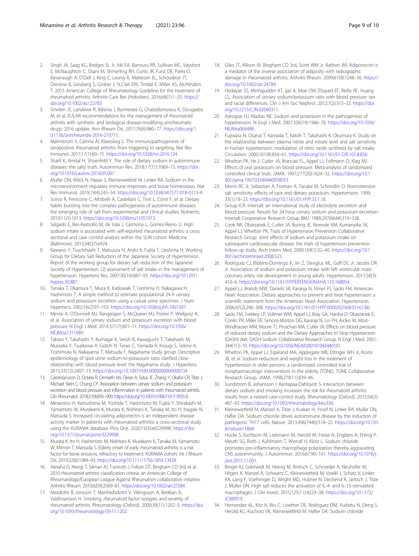- <span id="page-8-0"></span>2. Singh JA, Saag KG, Bridges SL Jr, Akl EA, Bannuru RR, Sullivan MC, Vaysbrot E, McNaughton C, Osani M, Shmerling RH, Curtis JR, Furst DE, Parks D, Kavanaugh A, O'Dell J, King C, Leong A, Matteson EL, Schousboe JT, Drevlow B, Ginsberg S, Grober J, St.Clair EW, Tindall E, Miller AS, McAlindon T. 2015 American College of Rheumatology Guideline for the treatment of rheumatoid arthritis. Arthritis Care Res (Hoboken). 2016;68(1):1–25. [https://](https://doi.org/10.1002/acr.22783) [doi.org/10.1002/acr.22783.](https://doi.org/10.1002/acr.22783)
- 3. Smolen JS, Landewe R, Bijlsma J, Burmester G, Chatzidionysiou K, Dougados M, et al. EULAR recommendations for the management of rheumatoid arthritis with synthetic and biological disease-modifying antirheumatic drugs: 2016 update. Ann Rheum Dis. 2017;76(6):960–77. [https://doi.org/1](https://doi.org/10.1136/annrheumdis-2016-210715) [0.1136/annrheumdis-2016-210715](https://doi.org/10.1136/annrheumdis-2016-210715).
- 4. Malmstrom V, Catrina AI, Klareskog L. The immunopathogenesis of seropositive rheumatoid arthritis: from triggering to targeting. Nat Rev Immunol. 2017;17(1):60–75. <https://doi.org/10.1038/nri.2016.124>.
- 5. Sharif K, Amital H, Shoenfeld Y. The role of dietary sodium in autoimmune diseases: the salty truth. Autoimmun Rev. 2018;17(11):1069–73. [https://doi.](https://doi.org/10.1016/j.autrev.2018.05.007) [org/10.1016/j.autrev.2018.05.007.](https://doi.org/10.1016/j.autrev.2018.05.007)
- 6. Muller DN, Wilck N, Haase S, Kleinewietfeld M, Linker RA. Sodium in the microenvironment regulates immune responses and tissue homeostasis. Nat Rev Immunol. 2019;19(4):243–54. <https://doi.org/10.1038/s41577-018-0113-4>.
- Scrivo R, Perricone C, Altobelli A, Castellani C, Tinti L, Conti F, et al. Dietary habits bursting into the complex pathogenesis of autoimmune diseases: the emerging role of salt from experimental and clinical studies. Nutrients. 2019;11(5):1013. [https://doi.org/10.3390/nu11051013.](https://doi.org/10.3390/nu11051013)
- 8. Salgado E, Bes-Rastrollo M, de Irala J, Carmona L, Gomez-Reino JJ. High sodium intake is associated with self-reported rheumatoid arthritis: a cross sectional and case control analysis within the SUN cohort. Medicine (Baltimore). 2015;94(37):e924.
- Kawano Y, Tsuchihashi T, Matsuura H, Ando K, Fujita T, Ueshima H, Working Group for Dietary Salt Reduction of the Japanese Society of Hypertension. Report of the working group for dietary salt reduction of the Japanese Society of Hypertension: (2) assessment of salt intake in the management of hypertension. Hypertens Res. 2007;30(10):887–93. [https://doi.org/10.1291/](https://doi.org/10.1291/hypres.30.887) [hypres.30.887.](https://doi.org/10.1291/hypres.30.887)
- 10. Tanaka T, Okamura T, Miura K, Kadowaki T, Ueshima H, Nakagawa H, Hashimoto T. A simple method to estimate populational 24-h urinary sodium and potassium excretion using a casual urine specimen. J Hum Hypertens. 2002;16(2):97–103. <https://doi.org/10.1038/sj.jhh.1001307>.
- 11. Mente A, O'Donnell MJ, Rangarajan S, McQueen MJ, Poirier P, Wielgosz A, et al. Association of urinary sodium and potassium excretion with blood pressure. N Engl J Med. 2014;371(7):601–11. [https://doi.org/10.1056/](https://doi.org/10.1056/NEJMoa1311989) [NEJMoa1311989](https://doi.org/10.1056/NEJMoa1311989).
- 12. Tabara Y, Takahashi Y, Kumagai K, Setoh K, Kawaguchi T, Takahashi M, Muraoka Y, Tsujikawa A, Gotoh N, Terao C, Yamada R, Kosugi S, Sekine A, Yoshimura N, Nakayama T, Matsuda F, Nagahama study group. Descriptive epidemiology of spot urine sodium-to-potassium ratio clarified close relationship with blood pressure level: the Nagahama study. J Hypertens. 2015;33(12):2407–13. [https://doi.org/10.1097/HJH.0000000000000734.](https://doi.org/10.1097/HJH.0000000000000734)
- 13. Carranza-Leon D, Octaria R, Ormseth MJ, Oeser A, Solus JF, Zhang Y, Okafor CR, Titze J, Michael Stein C, Chung CP. Association between urinary sodium and potassium excretion and blood pressure and inflammation in patients with rheumatoid arthritis. Clin Rheumatol. 2018;37(4):895–900. <https://doi.org/10.1007/s10067-017-3935-8>.
- 14. Minamino H, Katsushima M, Yoshida T, Hashimoto M, Fujita Y, Shirakashi M, Yamamoto W, Murakami K, Murata K, Nishitani K, Tanaka M, Ito H, Inagaki N, Matsuda S. Increased circulating adiponectin is an independent disease activity marker in patients with rheumatoid arthritis: a cross-sectional study using the KURAMA database. Plos One. 2020;15(3):e0229998. [https://doi.](https://doi.org/10.1371/journal.pone.0229998) [org/10.1371/journal.pone.0229998.](https://doi.org/10.1371/journal.pone.0229998)
- 15. Murata K, Ito H, Hashimoto M, Nishitani K, Murakami K, Tanaka M, Yamamoto W, Mimori T, Matsuda S. Elderly onset of early rheumatoid arthritis is a risk factor for bone erosions, refractory to treatment: KURAMA cohort. Int J Rheum Dis. 2019;22(6):1084–93. <https://doi.org/10.1111/1756-185X.13428>.
- 16. Aletaha D, Neogi T, Silman AJ, Funovits J, Felson DT, Bingham CO 3rd, et al. 2010 rheumatoid arthritis classification criteria: an American College of Rheumatology/European League Against Rheumatism collaborative initiative. Arthritis Rheum. 2010;62(9):2569–81. [https://doi.org/10.1002/art.27584.](https://doi.org/10.1002/art.27584)
- 17. Masdottir B, Jonsson T, Manfredsdottir V, Vikingsson A, Brekkan A, Valdimarsson H. Smoking, rheumatoid factor isotypes and severity of rheumatoid arthritis. Rheumatology (Oxford). 2000;39(11):1202–5. [https://doi.](https://doi.org/10.1093/rheumatology/39.11.1202) [org/10.1093/rheumatology/39.11.1202](https://doi.org/10.1093/rheumatology/39.11.1202).
- 18. Giles JT, Allison M, Bingham CO 3rd, Scott WM Jr, Bathon JM. Adiponectin is a mediator of the inverse association of adiposity with radiographic damage in rheumatoid arthritis. Arthritis Rheum. 2009;61(9):1248–56. [https://](https://doi.org/10.1002/art.24789) [doi.org/10.1002/art.24789.](https://doi.org/10.1002/art.24789)
- 19. Hedayati SS, Minhajuddin AT, Ijaz A, Moe OW, Elsayed EF, Reilly RF, Huang CL. Association of urinary sodium/potassium ratio with blood pressure: sex and racial differences. Clin J Am Soc Nephrol. 2012;7(2):315–22. [https://doi.](https://doi.org/10.2215/CJN.02060311) [org/10.2215/CJN.02060311](https://doi.org/10.2215/CJN.02060311).
- 20. Adrogue HJ, Madias NE. Sodium and potassium in the pathogenesis of hypertension. N Engl J Med. 2007;356(19):1966–78. [https://doi.org/10.1056/](https://doi.org/10.1056/NEJMra064486) [NEJMra064486](https://doi.org/10.1056/NEJMra064486).
- 21. Fujiwara N, Osanai T, Kamada T, Katoh T, Takahashi K, Okumura K. Study on the relationship between plasma nitrite and nitrate level and salt sensitivity in human hypertension: modulation of nitric oxide synthesis by salt intake. Circulation. 2000;101(8):856–61. <https://doi.org/10.1161/01.CIR.101.8.856>.
- 22. Whelton PK, He J, Cutler JA, Brancati FL, Appel LJ, Follmann D, Klag MJ. Effects of oral potassium on blood pressure. Meta-analysis of randomized controlled clinical trials. JAMA. 1997;277(20):1624–32. [https://doi.org/10.1](https://doi.org/10.1001/jama.1997.03540440058033) [001/jama.1997.03540440058033.](https://doi.org/10.1001/jama.1997.03540440058033)
- 23. Morris RC Jr, Sebastian A, Forman A, Tanaka M, Schmidlin O. Normotensive salt sensitivity: effects of race and dietary potassium. Hypertension. 1999; 33(1):18–23. [https://doi.org/10.1161/01.HYP.33.1.18.](https://doi.org/10.1161/01.HYP.33.1.18)
- 24. Group ICR. Intersalt: an international study of electrolyte excretion and blood pressure. Results for 24 hour urinary sodium and potassium excretion. Intersalt Cooperative Research Group BMJ. 1988;297(6644):319–328.
- 25. Cook NR, Obarzanek E, Cutler JA, Buring JE, Rexrode KM, Kumanyika SK, Appel LJ, Whelton PK, Trials of Hypertension Prevention Collaborative Research Group. Joint effects of sodium and potassium intake on subsequent cardiovascular disease: the trials of hypertension prevention follow-up study. Arch Intern Med. 2009;169(1):32–40. [https://doi.org/10.1](https://doi.org/10.1001/archinternmed.2008.523) [001/archinternmed.2008.523.](https://doi.org/10.1001/archinternmed.2008.523)
- 26. Rodriguez CJ, Bibbins-Domingo K, Jin Z, Daviglus ML, Goff DC Jr, Jacobs DR Jr. Association of sodium and potassium intake with left ventricular mass: coronary artery risk development in young adults. Hypertension. 2011;58(3): 410–6. [https://doi.org/10.1161/HYPERTENSIONAHA.110.168054.](https://doi.org/10.1161/HYPERTENSIONAHA.110.168054)
- 27. Appel LJ, Brands MW, Daniels SR, Karanja N, Elmer PJ, Sacks FM, American Heart Association. Dietary approaches to prevent and treat hypertension: a scientific statement from the American Heart Association. Hypertension. 2006;47(2):296–308. [https://doi.org/10.1161/01.HYP.0000202568.01167.B6.](https://doi.org/10.1161/01.HYP.0000202568.01167.B6)
- 28. Sacks FM, Svetkey LP, Vollmer WM, Appel LJ, Bray GA, Harsha D, Obarzanek E, Conlin PR, Miller ER, Simons-Morton DG, Karanja N, Lin PH, Aickin M, Most-Windhauser MM, Moore TJ, Proschan MA, Cutler JA. Effects on blood pressure of reduced dietary sodium and the Dietary Approaches to Stop Hypertension (DASH) diet. DASH-Sodium Collaborative Research Group. N Engl J Med. 2001; 344(1):3–10. <https://doi.org/10.1056/NEJM200101043440101>.
- 29. Whelton PK, Appel LJ, Espeland MA, Applegate WB, Ettinger WH Jr, Kostis JB, et al. Sodium reduction and weight loss in the treatment of hypertension in older persons: a randomized controlled trial of nonpharmacologic interventions in the elderly (TONE). TONE Collaborative Research Group. JAMA. 1998;279(11):839–46.
- 30. Sundstrom B, Johansson I, Rantapaa-Dahlqvist S. Interaction between dietary sodium and smoking increases the risk for rheumatoid arthritis: results from a nested case-control study. Rheumatology (Oxford). 2015;54(3): 487–93. [https://doi.org/10.1093/rheumatology/keu330.](https://doi.org/10.1093/rheumatology/keu330)
- 31. Kleinewietfeld M, Manzel A, Titze J, Kvakan H, Yosef N, Linker RA, Muller DN, Hafler DA. Sodium chloride drives autoimmune disease by the induction of pathogenic TH17 cells. Nature. 2013;496(7446):518–22. [https://doi.org/10.103](https://doi.org/10.1038/nature11868) [8/nature11868.](https://doi.org/10.1038/nature11868)
- 32. Hucke S, Eschborn M, Liebmann M, Herold M, Freise N, Engbers A, Ehling P, Meuth SG, Roth J, Kuhlmann T, Wiendl H, Klotz L. Sodium chloride promotes pro-inflammatory macrophage polarization thereby aggravating CNS autoimmunity. J Autoimmun. 2016;67:90–101. [https://doi.org/10.1016/j.](https://doi.org/10.1016/j.jaut.2015.11.001) [jaut.2015.11.001.](https://doi.org/10.1016/j.jaut.2015.11.001)
- 33. Binger KJ, Gebhardt M, Heinig M, Rintisch C, Schroeder A, Neuhofer W, Hilgers K, Manzel A, Schwartz C, Kleinewietfeld M, Voelkl J, Schatz V, Linker RA, Lang F, Voehringer D, Wright MD, Hubner N, Dechend R, Jantsch J, Titze J, Müller DN. High salt reduces the activation of IL-4- and IL-13-stimulated macrophages. J Clin Invest. 2015;125(11):4223–38. [https://doi.org/10.1172/](https://doi.org/10.1172/JCI80919) [JCI80919.](https://doi.org/10.1172/JCI80919)
- 34. Hernandez AL, Kitz A, Wu C, Lowther DE, Rodriguez DM, Vudattu N, Deng S, Herold KC, Kuchroo VK, Kleinewietfeld M, Hafler DA. Sodium chloride